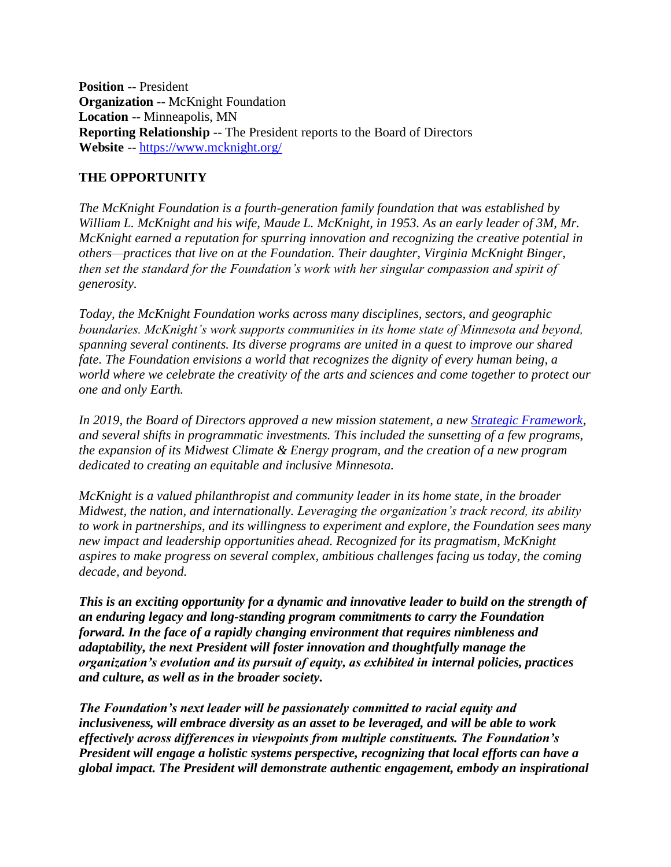**Position** -- President **Organization** -- McKnight Foundation **Location** -- Minneapolis, MN **Reporting Relationship** -- The President reports to the Board of Directors **Website** -- <https://www.mcknight.org/>

#### **THE OPPORTUNITY**

*The McKnight Foundation is a fourth-generation family foundation that was established by William L. McKnight and his wife, Maude L. McKnight, in 1953. As an early leader of 3M, Mr. McKnight earned a reputation for spurring innovation and recognizing the creative potential in others—practices that live on at the Foundation. Their daughter, Virginia McKnight Binger, then set the standard for the Foundation's work with her singular compassion and spirit of generosity.* 

*Today, the McKnight Foundation works across many disciplines, sectors, and geographic boundaries. McKnight's work supports communities in its home state of Minnesota and beyond, spanning several continents. Its diverse programs are united in a quest to improve our shared fate. The Foundation envisions a world that recognizes the dignity of every human being, a world where we celebrate the creativity of the arts and sciences and come together to protect our one and only Earth.* 

*In 2019, the Board of Directors approved a new mission statement, a new [Strategic Framework,](https://www.mcknight.org/wp-content/uploads/01-17-19-2019-2021-mcknight-strategic-framework.pdf) and several shifts in programmatic investments. This included the sunsetting of a few programs, the expansion of its Midwest Climate & Energy program, and the creation of a new program dedicated to creating an equitable and inclusive Minnesota.* 

*McKnight is a valued philanthropist and community leader in its home state, in the broader Midwest, the nation, and internationally. Leveraging the organization's track record, its ability to work in partnerships, and its willingness to experiment and explore, the Foundation sees many new impact and leadership opportunities ahead. Recognized for its pragmatism, McKnight aspires to make progress on several complex, ambitious challenges facing us today, the coming decade, and beyond.*

*This is an exciting opportunity for a dynamic and innovative leader to build on the strength of an enduring legacy and long-standing program commitments to carry the Foundation forward. In the face of a rapidly changing environment that requires nimbleness and adaptability, the next President will foster innovation and thoughtfully manage the organization's evolution and its pursuit of equity, as exhibited in internal policies, practices and culture, as well as in the broader society.*

*The Foundation's next leader will be passionately committed to racial equity and inclusiveness, will embrace diversity as an asset to be leveraged, and will be able to work effectively across differences in viewpoints from multiple constituents. The Foundation's President will engage a holistic systems perspective, recognizing that local efforts can have a global impact. The President will demonstrate authentic engagement, embody an inspirational*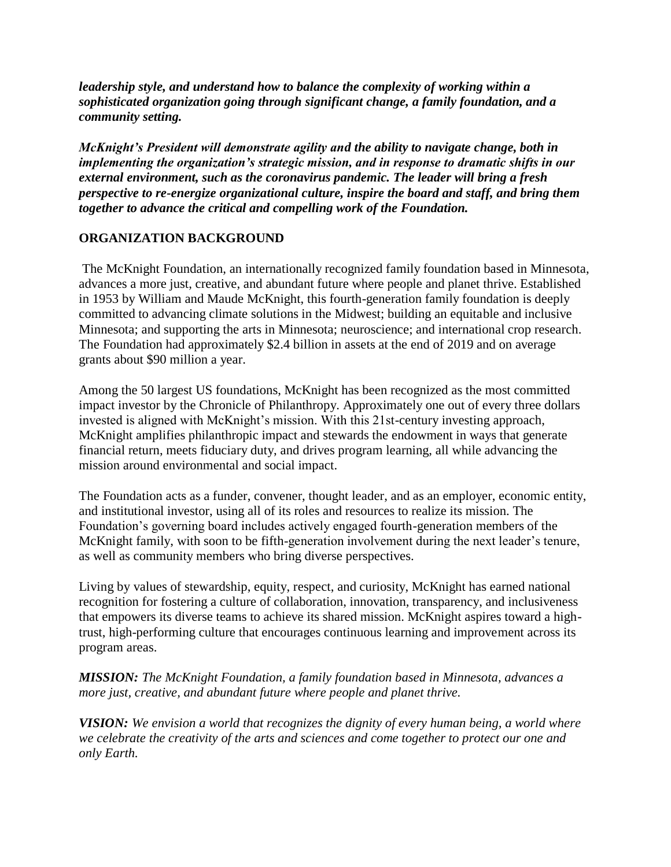*leadership style, and understand how to balance the complexity of working within a sophisticated organization going through significant change, a family foundation, and a community setting.*

*McKnight's President will demonstrate agility and the ability to navigate change, both in implementing the organization's strategic mission, and in response to dramatic shifts in our external environment, such as the coronavirus pandemic. The leader will bring a fresh perspective to re-energize organizational culture, inspire the board and staff, and bring them together to advance the critical and compelling work of the Foundation.* 

#### **ORGANIZATION BACKGROUND**

The McKnight Foundation, an internationally recognized family foundation based in Minnesota, advances a more just, creative, and abundant future where people and planet thrive. Established in 1953 by William and Maude McKnight, this fourth-generation family foundation is deeply committed to advancing climate solutions in the Midwest; building an equitable and inclusive Minnesota; and supporting the arts in Minnesota; neuroscience; and international crop research. The Foundation had approximately \$2.4 billion in assets at the end of 2019 and on average grants about \$90 million a year.

Among the 50 largest US foundations, McKnight has been recognized as the most committed impact investor by the Chronicle of Philanthropy. Approximately one out of every three dollars invested is aligned with McKnight's mission. With this 21st-century investing approach, McKnight amplifies philanthropic impact and stewards the endowment in ways that generate financial return, meets fiduciary duty, and drives program learning, all while advancing the mission around environmental and social impact.

The Foundation acts as a funder, convener, thought leader, and as an employer, economic entity, and institutional investor, using all of its roles and resources to realize its mission. The Foundation's governing board includes actively engaged fourth-generation members of the McKnight family, with soon to be fifth-generation involvement during the next leader's tenure, as well as community members who bring diverse perspectives.

Living by values of stewardship, equity, respect, and curiosity, McKnight has earned national recognition for fostering a culture of collaboration, innovation, transparency, and inclusiveness that empowers its diverse teams to achieve its shared mission. McKnight aspires toward a hightrust, high-performing culture that encourages continuous learning and improvement across its program areas.

*MISSION: The McKnight Foundation, a family foundation based in Minnesota, advances a more just, creative, and abundant future where people and planet thrive.*

*VISION: We envision a world that recognizes the dignity of every human being, a world where we celebrate the creativity of the arts and sciences and come together to protect our one and only Earth.*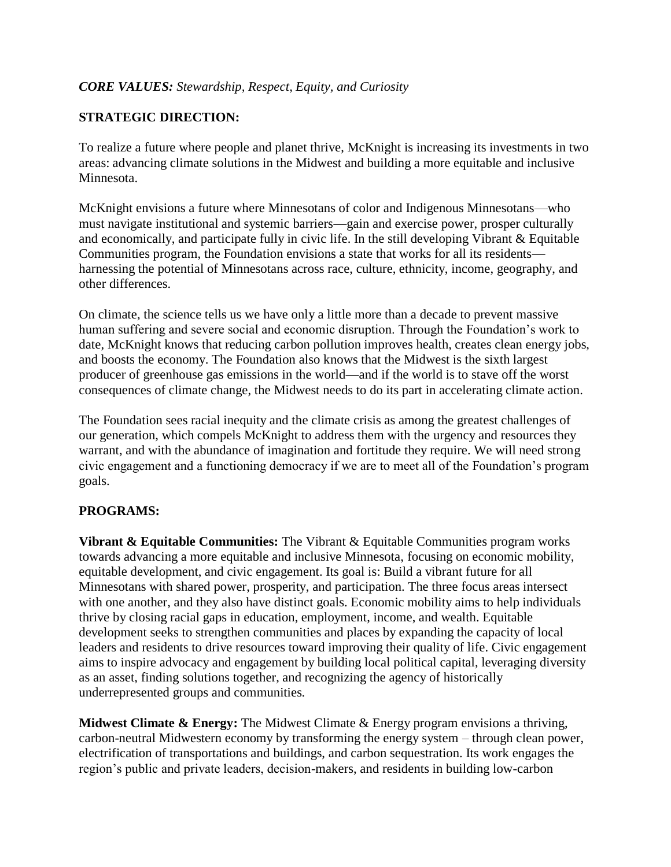## *CORE VALUES: Stewardship, Respect, Equity, and Curiosity*

## **STRATEGIC DIRECTION:**

To realize a future where people and planet thrive, McKnight is increasing its investments in two areas: advancing climate solutions in the Midwest and building a more equitable and inclusive Minnesota.

McKnight envisions a future where Minnesotans of color and Indigenous Minnesotans—who must navigate institutional and systemic barriers—gain and exercise power, prosper culturally and economically, and participate fully in civic life. In the still developing Vibrant & Equitable Communities program, the Foundation envisions a state that works for all its residents harnessing the potential of Minnesotans across race, culture, ethnicity, income, geography, and other differences.

On climate, the science tells us we have only a little more than a decade to prevent massive human suffering and severe social and economic disruption. Through the Foundation's work to date, McKnight knows that reducing carbon pollution improves health, creates clean energy jobs, and boosts the economy. The Foundation also knows that the Midwest is the sixth largest producer of greenhouse gas emissions in the world—and if the world is to stave off the worst consequences of climate change, the Midwest needs to do its part in accelerating climate action.

The Foundation sees racial inequity and the climate crisis as among the greatest challenges of our generation, which compels McKnight to address them with the urgency and resources they warrant, and with the abundance of imagination and fortitude they require. We will need strong civic engagement and a functioning democracy if we are to meet all of the Foundation's program goals.

#### **PROGRAMS:**

**Vibrant & Equitable Communities:** The Vibrant & Equitable Communities program works towards advancing a more equitable and inclusive Minnesota, focusing on economic mobility, equitable development, and civic engagement. Its goal is: Build a vibrant future for all Minnesotans with shared power, prosperity, and participation. The three focus areas intersect with one another, and they also have distinct goals. Economic mobility aims to help individuals thrive by closing racial gaps in education, employment, income, and wealth. Equitable development seeks to strengthen communities and places by expanding the capacity of local leaders and residents to drive resources toward improving their quality of life. Civic engagement aims to inspire advocacy and engagement by building local political capital, leveraging diversity as an asset, finding solutions together, and recognizing the agency of historically underrepresented groups and communities.

**Midwest Climate & Energy:** The Midwest Climate & Energy program envisions a thriving, carbon-neutral Midwestern economy by transforming the energy system – through clean power, electrification of transportations and buildings, and carbon sequestration. Its work engages the region's public and private leaders, decision-makers, and residents in building low-carbon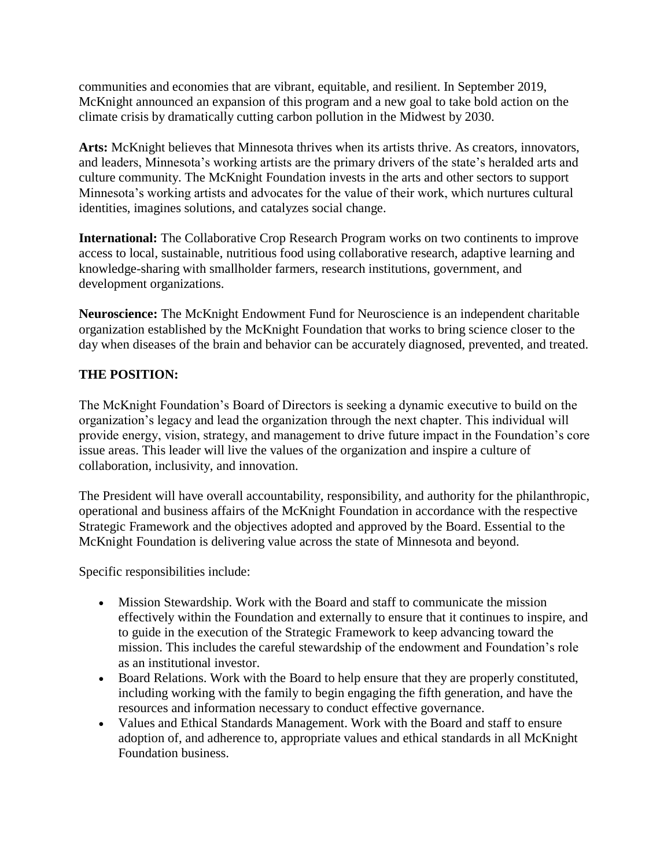communities and economies that are vibrant, equitable, and resilient. In September 2019, McKnight announced an expansion of this program and a new goal to take bold action on the climate crisis by dramatically cutting carbon pollution in the Midwest by 2030.

**Arts:** McKnight believes that Minnesota thrives when its artists thrive. As creators, innovators, and leaders, Minnesota's working artists are the primary drivers of the state's heralded arts and culture community. The McKnight Foundation invests in the arts and other sectors to support Minnesota's working artists and advocates for the value of their work, which nurtures cultural identities, imagines solutions, and catalyzes social change.

**International:** The Collaborative Crop Research Program works on two continents to improve access to local, sustainable, nutritious food using collaborative research, adaptive learning and knowledge-sharing with smallholder farmers, research institutions, government, and development organizations.

**Neuroscience:** The McKnight Endowment Fund for Neuroscience is an independent charitable organization established by the McKnight Foundation that works to bring science closer to the day when diseases of the brain and behavior can be accurately diagnosed, prevented, and treated.

#### **THE POSITION:**

The McKnight Foundation's Board of Directors is seeking a dynamic executive to build on the organization's legacy and lead the organization through the next chapter. This individual will provide energy, vision, strategy, and management to drive future impact in the Foundation's core issue areas. This leader will live the values of the organization and inspire a culture of collaboration, inclusivity, and innovation.

The President will have overall accountability, responsibility, and authority for the philanthropic, operational and business affairs of the McKnight Foundation in accordance with the respective Strategic Framework and the objectives adopted and approved by the Board. Essential to the McKnight Foundation is delivering value across the state of Minnesota and beyond.

Specific responsibilities include:

- Mission Stewardship. Work with the Board and staff to communicate the mission effectively within the Foundation and externally to ensure that it continues to inspire, and to guide in the execution of the Strategic Framework to keep advancing toward the mission. This includes the careful stewardship of the endowment and Foundation's role as an institutional investor.
- Board Relations. Work with the Board to help ensure that they are properly constituted, including working with the family to begin engaging the fifth generation, and have the resources and information necessary to conduct effective governance.
- Values and Ethical Standards Management. Work with the Board and staff to ensure adoption of, and adherence to, appropriate values and ethical standards in all McKnight Foundation business.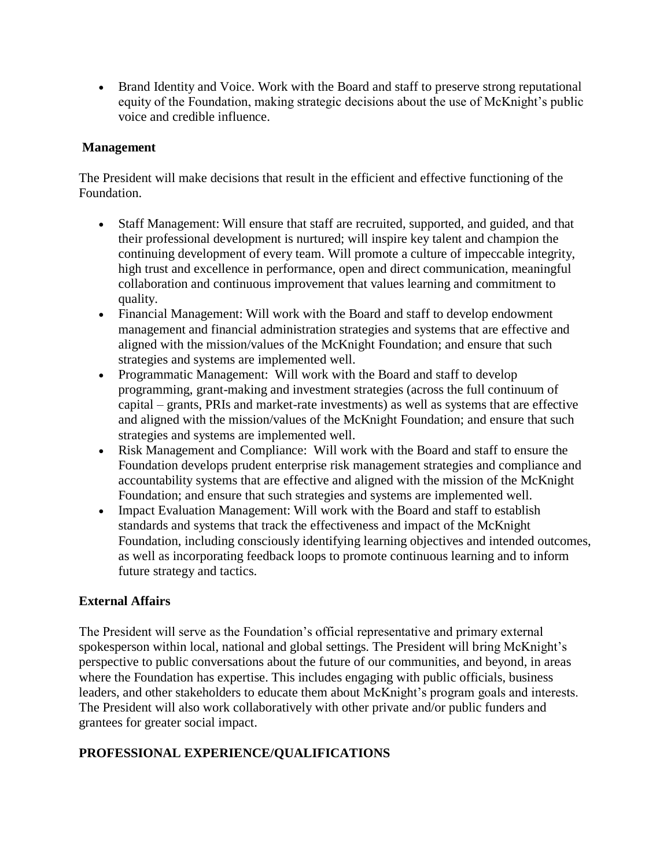• Brand Identity and Voice. Work with the Board and staff to preserve strong reputational equity of the Foundation, making strategic decisions about the use of McKnight's public voice and credible influence.

#### **Management**

The President will make decisions that result in the efficient and effective functioning of the Foundation.

- Staff Management: Will ensure that staff are recruited, supported, and guided, and that their professional development is nurtured; will inspire key talent and champion the continuing development of every team. Will promote a culture of impeccable integrity, high trust and excellence in performance, open and direct communication, meaningful collaboration and continuous improvement that values learning and commitment to quality.
- Financial Management: Will work with the Board and staff to develop endowment management and financial administration strategies and systems that are effective and aligned with the mission/values of the McKnight Foundation; and ensure that such strategies and systems are implemented well.
- Programmatic Management: Will work with the Board and staff to develop programming, grant-making and investment strategies (across the full continuum of capital – grants, PRIs and market-rate investments) as well as systems that are effective and aligned with the mission/values of the McKnight Foundation; and ensure that such strategies and systems are implemented well.
- Risk Management and Compliance: Will work with the Board and staff to ensure the Foundation develops prudent enterprise risk management strategies and compliance and accountability systems that are effective and aligned with the mission of the McKnight Foundation; and ensure that such strategies and systems are implemented well.
- Impact Evaluation Management: Will work with the Board and staff to establish standards and systems that track the effectiveness and impact of the McKnight Foundation, including consciously identifying learning objectives and intended outcomes, as well as incorporating feedback loops to promote continuous learning and to inform future strategy and tactics.

# **External Affairs**

The President will serve as the Foundation's official representative and primary external spokesperson within local, national and global settings. The President will bring McKnight's perspective to public conversations about the future of our communities, and beyond, in areas where the Foundation has expertise. This includes engaging with public officials, business leaders, and other stakeholders to educate them about McKnight's program goals and interests. The President will also work collaboratively with other private and/or public funders and grantees for greater social impact.

# **PROFESSIONAL EXPERIENCE/QUALIFICATIONS**